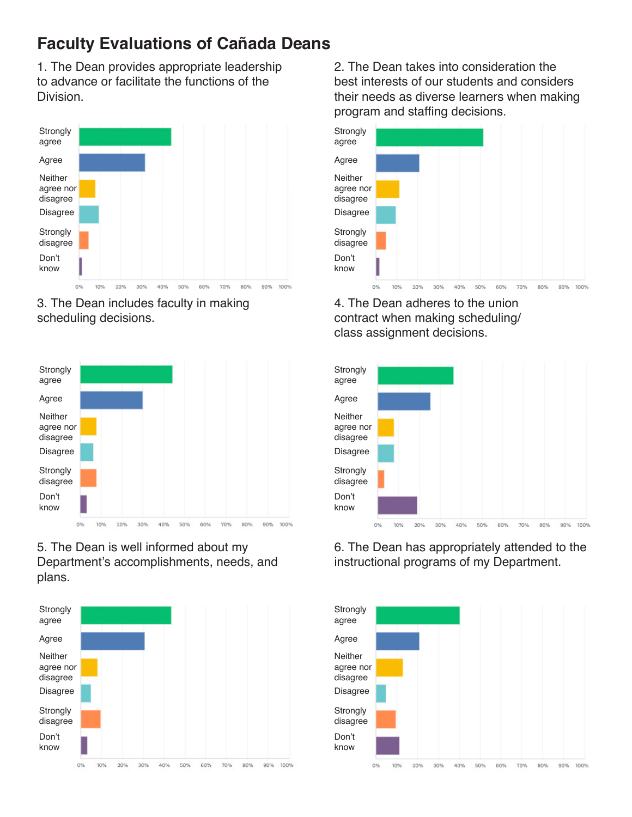1. The Dean provides appropriate leadership to advance or facilitate the functions of the **Division** 



3. The Dean includes faculty in making scheduling decisions.



#### 5. The Dean is well informed about my Department's accomplishments, needs, and plans.



2. The Dean takes into consideration the best interests of our students and considers their needs as diverse learners when making program and staffing decisions.



4. The Dean adheres to the union contract when making scheduling/ class assignment decisions.



6. The Dean has appropriately attended to the instructional programs of my Department.

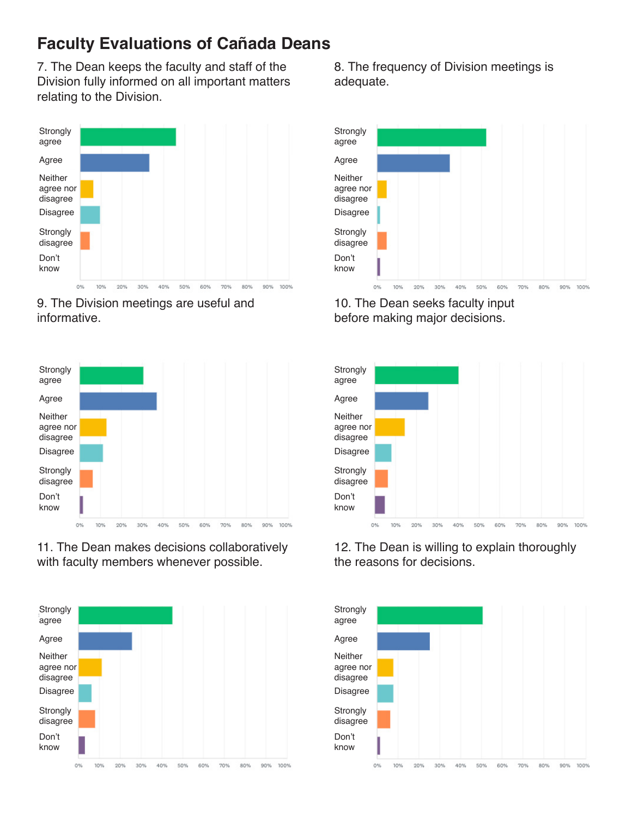7. The Dean keeps the faculty and staff of the Division fully informed on all important matters relating to the Division.



9. The Division meetings are useful and informative.



11. The Dean makes decisions collaboratively with faculty members whenever possible.



8. The frequency of Division meetings is adequate.



10. The Dean seeks faculty input before making major decisions.



12. The Dean is willing to explain thoroughly the reasons for decisions.

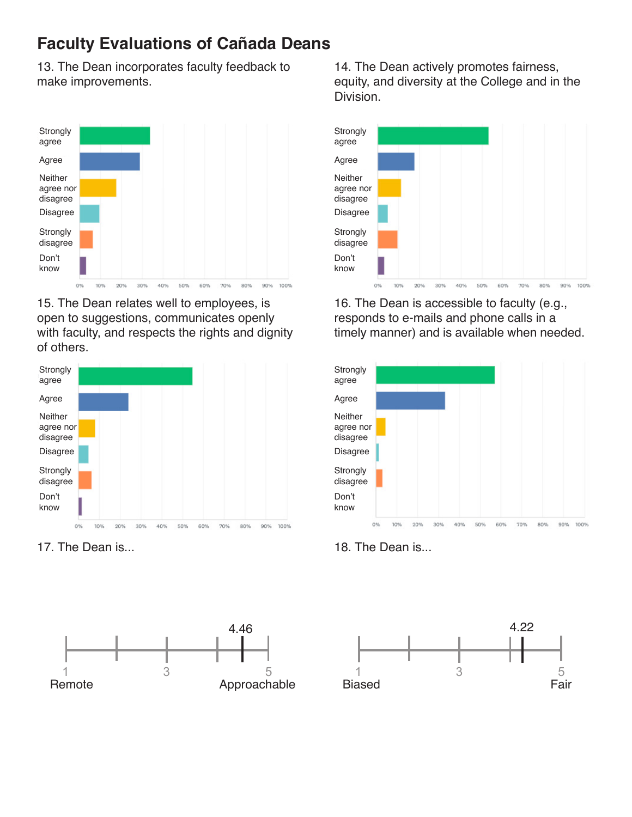13. The Dean incorporates faculty feedback to make improvements.



15. The Dean relates well to employees, is open to suggestions, communicates openly with faculty, and respects the rights and dignity of others.



17. The Dean is... 18. The Dean is...



14. The Dean actively promotes fairness, equity, and diversity at the College and in the Division.



16. The Dean is accessible to faculty (e.g., responds to e-mails and phone calls in a timely manner) and is available when needed.